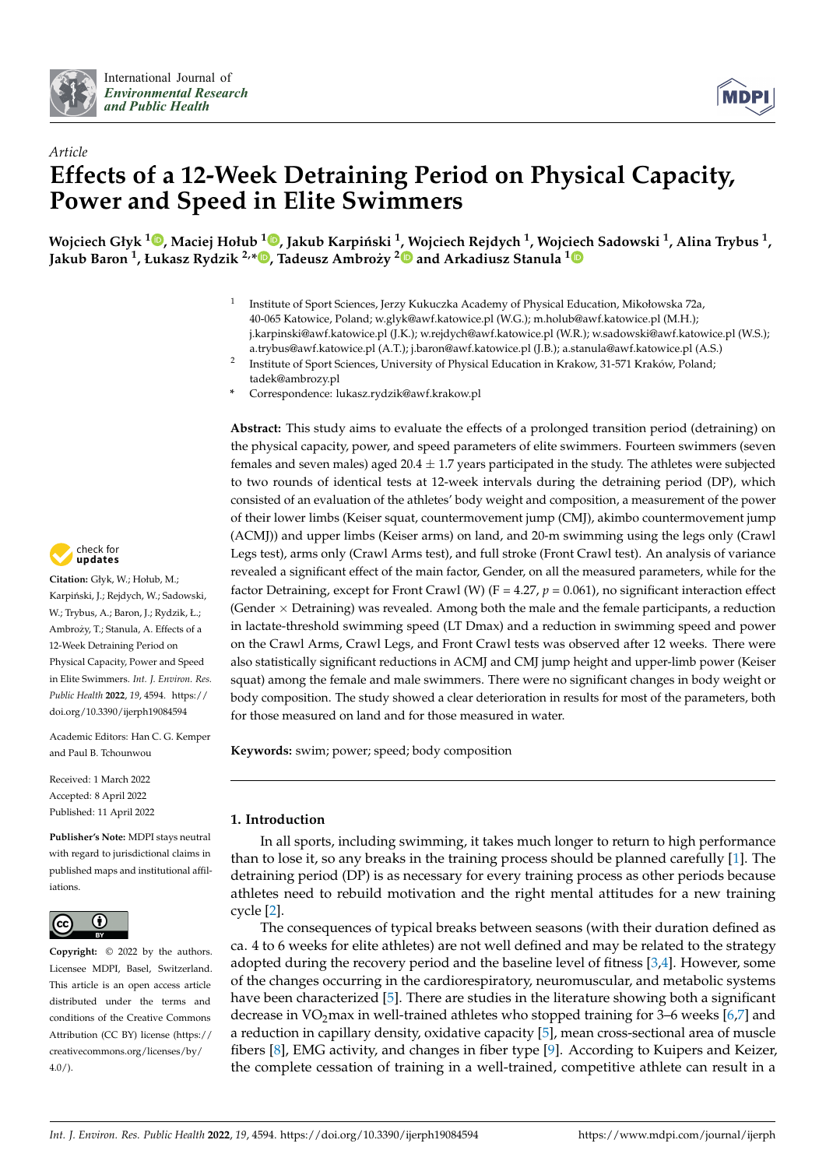



# *Article* **Effects of a 12-Week Detraining Period on Physical Capacity, Power and Speed in Elite Swimmers**

Wojciech Głyk <sup>1</sup>®[,](https://orcid.org/0000-0002-3538-2892) Maciej Hołub <sup>1</sup>®, Jakub Karpiński <sup>1</sup>[, W](https://orcid.org/0000-0001-7361-9478)ojc[iec](https://orcid.org/0000-0003-1759-6456)h Rejdych <sup>1</sup>, Wojciech Sadowski <sup>1</sup>, Alina Trybus <sup>1</sup>, **Jakub Baron <sup>1</sup> , Łukasz Rydzik 2,\* [,](https://orcid.org/0000-0001-7956-7488) Tadeusz Ambrozy˙ <sup>2</sup> and Arkadiusz Stanula <sup>1</sup>**

- 1 Institute of Sport Sciences, Jerzy Kukuczka Academy of Physical Education, Mikołowska 72a, 40-065 Katowice, Poland; w.glyk@awf.katowice.pl (W.G.); m.holub@awf.katowice.pl (M.H.); j.karpinski@awf.katowice.pl (J.K.); w.rejdych@awf.katowice.pl (W.R.); w.sadowski@awf.katowice.pl (W.S.); a.trybus@awf.katowice.pl (A.T.); j.baron@awf.katowice.pl (J.B.); a.stanula@awf.katowice.pl (A.S.)
- 2 Institute of Sport Sciences, University of Physical Education in Krakow, 31-571 Kraków, Poland; tadek@ambrozy.pl
- **\*** Correspondence: lukasz.rydzik@awf.krakow.pl

**Abstract:** This study aims to evaluate the effects of a prolonged transition period (detraining) on the physical capacity, power, and speed parameters of elite swimmers. Fourteen swimmers (seven females and seven males) aged  $20.4 \pm 1.7$  years participated in the study. The athletes were subjected to two rounds of identical tests at 12-week intervals during the detraining period (DP), which consisted of an evaluation of the athletes' body weight and composition, a measurement of the power of their lower limbs (Keiser squat, countermovement jump (CMJ), akimbo countermovement jump (ACMJ)) and upper limbs (Keiser arms) on land, and 20-m swimming using the legs only (Crawl Legs test), arms only (Crawl Arms test), and full stroke (Front Crawl test). An analysis of variance revealed a significant effect of the main factor, Gender, on all the measured parameters, while for the factor Detraining, except for Front Crawl (W) ( $F = 4.27$ ,  $p = 0.061$ ), no significant interaction effect (Gender  $\times$  Detraining) was revealed. Among both the male and the female participants, a reduction in lactate-threshold swimming speed (LT Dmax) and a reduction in swimming speed and power on the Crawl Arms, Crawl Legs, and Front Crawl tests was observed after 12 weeks. There were also statistically significant reductions in ACMJ and CMJ jump height and upper-limb power (Keiser squat) among the female and male swimmers. There were no significant changes in body weight or body composition. The study showed a clear deterioration in results for most of the parameters, both for those measured on land and for those measured in water.

**Keywords:** swim; power; speed; body composition

## **1. Introduction**

In all sports, including swimming, it takes much longer to return to high performance than to lose it, so any breaks in the training process should be planned carefully [\[1\]](#page-9-0). The detraining period (DP) is as necessary for every training process as other periods because athletes need to rebuild motivation and the right mental attitudes for a new training cycle [\[2\]](#page-9-1).

The consequences of typical breaks between seasons (with their duration defined as ca. 4 to 6 weeks for elite athletes) are not well defined and may be related to the strategy adopted during the recovery period and the baseline level of fitness [\[3](#page-9-2)[,4\]](#page-9-3). However, some of the changes occurring in the cardiorespiratory, neuromuscular, and metabolic systems have been characterized [\[5\]](#page-9-4). There are studies in the literature showing both a significant decrease in VO<sub>2</sub>max in well-trained athletes who stopped training for 3–6 weeks  $[6,7]$  $[6,7]$  and a reduction in capillary density, oxidative capacity [\[5\]](#page-9-4), mean cross-sectional area of muscle fibers [\[8\]](#page-9-7), EMG activity, and changes in fiber type [\[9\]](#page-9-8). According to Kuipers and Keizer, the complete cessation of training in a well-trained, competitive athlete can result in a



**Citation:** Głyk, W.; Hołub, M.; Karpiński, J.; Rejdych, W.; Sadowski, W.; Trybus, A.; Baron, J.; Rydzik, Ł.; Ambroży, T.; Stanula, A. Effects of a 12-Week Detraining Period on Physical Capacity, Power and Speed in Elite Swimmers. *Int. J. Environ. Res. Public Health* **2022**, *19*, 4594. [https://](https://doi.org/10.3390/ijerph19084594) [doi.org/10.3390/ijerph19084594](https://doi.org/10.3390/ijerph19084594)

Academic Editors: Han C. G. Kemper and Paul B. Tchounwou

Received: 1 March 2022 Accepted: 8 April 2022 Published: 11 April 2022

**Publisher's Note:** MDPI stays neutral with regard to jurisdictional claims in published maps and institutional affiliations.



**Copyright:** © 2022 by the authors. Licensee MDPI, Basel, Switzerland. This article is an open access article distributed under the terms and conditions of the Creative Commons Attribution (CC BY) license [\(https://](https://creativecommons.org/licenses/by/4.0/) [creativecommons.org/licenses/by/](https://creativecommons.org/licenses/by/4.0/)  $4.0/$ ).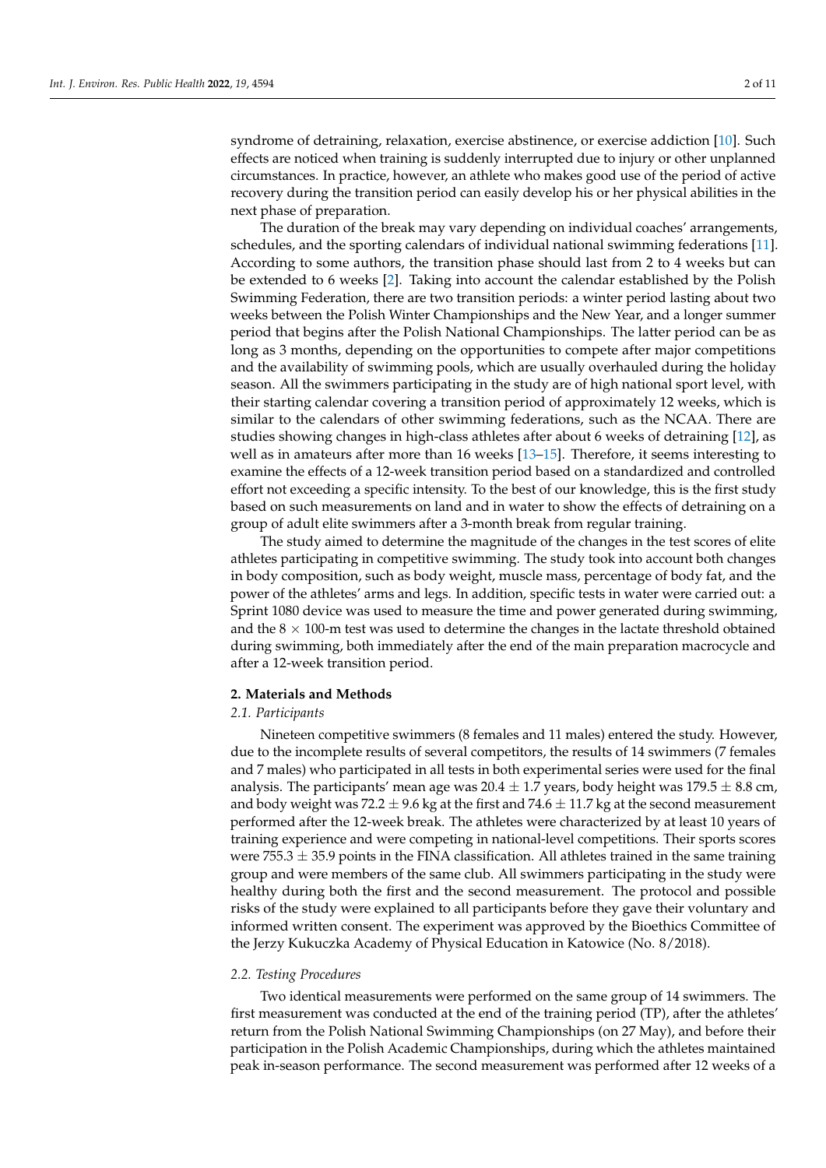syndrome of detraining, relaxation, exercise abstinence, or exercise addiction [\[10\]](#page-9-9). Such effects are noticed when training is suddenly interrupted due to injury or other unplanned circumstances. In practice, however, an athlete who makes good use of the period of active recovery during the transition period can easily develop his or her physical abilities in the next phase of preparation.

The duration of the break may vary depending on individual coaches' arrangements, schedules, and the sporting calendars of individual national swimming federations [\[11\]](#page-9-10). According to some authors, the transition phase should last from 2 to 4 weeks but can be extended to 6 weeks [\[2\]](#page-9-1). Taking into account the calendar established by the Polish Swimming Federation, there are two transition periods: a winter period lasting about two weeks between the Polish Winter Championships and the New Year, and a longer summer period that begins after the Polish National Championships. The latter period can be as long as 3 months, depending on the opportunities to compete after major competitions and the availability of swimming pools, which are usually overhauled during the holiday season. All the swimmers participating in the study are of high national sport level, with their starting calendar covering a transition period of approximately 12 weeks, which is similar to the calendars of other swimming federations, such as the NCAA. There are studies showing changes in high-class athletes after about 6 weeks of detraining [\[12\]](#page-9-11), as well as in amateurs after more than 16 weeks [\[13–](#page-9-12)[15\]](#page-10-0). Therefore, it seems interesting to examine the effects of a 12-week transition period based on a standardized and controlled effort not exceeding a specific intensity. To the best of our knowledge, this is the first study based on such measurements on land and in water to show the effects of detraining on a group of adult elite swimmers after a 3-month break from regular training.

The study aimed to determine the magnitude of the changes in the test scores of elite athletes participating in competitive swimming. The study took into account both changes in body composition, such as body weight, muscle mass, percentage of body fat, and the power of the athletes' arms and legs. In addition, specific tests in water were carried out: a Sprint 1080 device was used to measure the time and power generated during swimming, and the  $8 \times 100$ -m test was used to determine the changes in the lactate threshold obtained during swimming, both immediately after the end of the main preparation macrocycle and after a 12-week transition period.

#### **2. Materials and Methods**

#### *2.1. Participants*

Nineteen competitive swimmers (8 females and 11 males) entered the study. However, due to the incomplete results of several competitors, the results of 14 swimmers (7 females and 7 males) who participated in all tests in both experimental series were used for the final analysis. The participants' mean age was  $20.4 \pm 1.7$  years, body height was  $179.5 \pm 8.8$  cm, and body weight was 72.2  $\pm$  9.6 kg at the first and 74.6  $\pm$  11.7 kg at the second measurement performed after the 12-week break. The athletes were characterized by at least 10 years of training experience and were competing in national-level competitions. Their sports scores were 755.3  $\pm$  35.9 points in the FINA classification. All athletes trained in the same training group and were members of the same club. All swimmers participating in the study were healthy during both the first and the second measurement. The protocol and possible risks of the study were explained to all participants before they gave their voluntary and informed written consent. The experiment was approved by the Bioethics Committee of the Jerzy Kukuczka Academy of Physical Education in Katowice (No. 8/2018).

#### *2.2. Testing Procedures*

Two identical measurements were performed on the same group of 14 swimmers. The first measurement was conducted at the end of the training period (TP), after the athletes' return from the Polish National Swimming Championships (on 27 May), and before their participation in the Polish Academic Championships, during which the athletes maintained peak in-season performance. The second measurement was performed after 12 weeks of a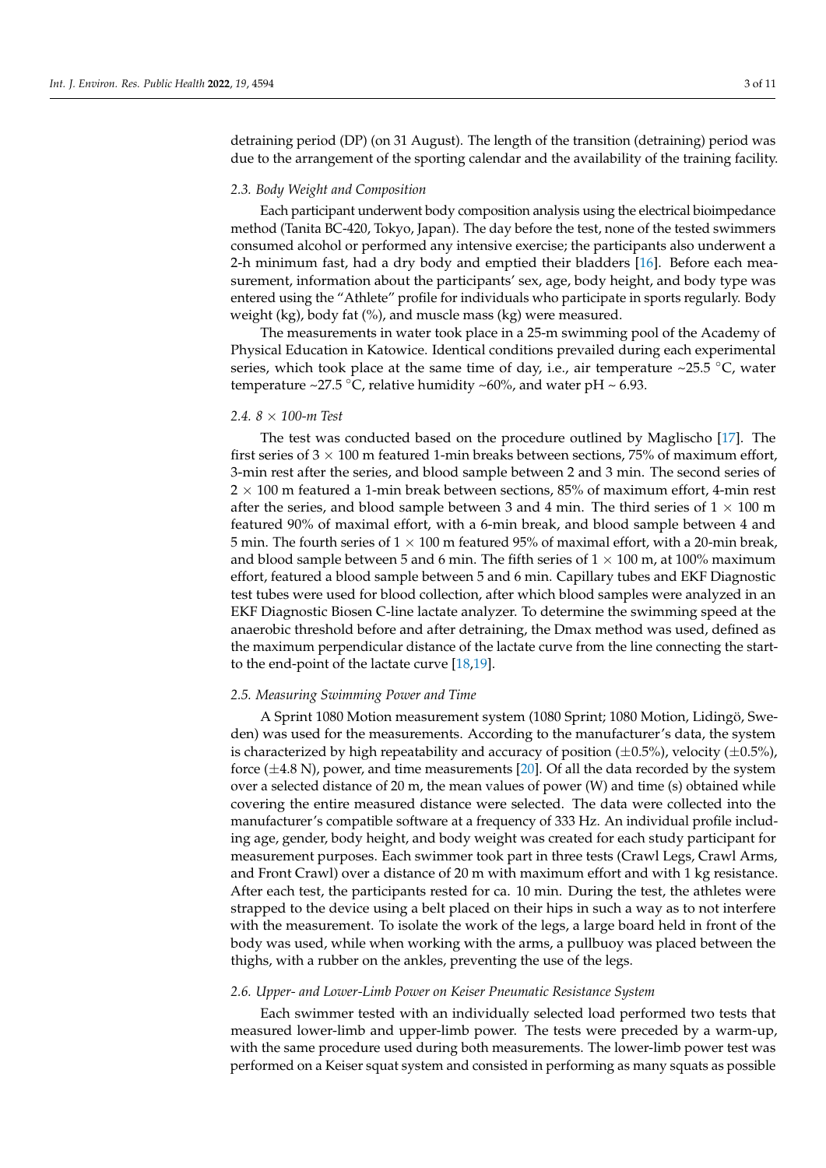detraining period (DP) (on 31 August). The length of the transition (detraining) period was due to the arrangement of the sporting calendar and the availability of the training facility.

#### *2.3. Body Weight and Composition*

Each participant underwent body composition analysis using the electrical bioimpedance method (Tanita BC-420, Tokyo, Japan). The day before the test, none of the tested swimmers consumed alcohol or performed any intensive exercise; the participants also underwent a 2-h minimum fast, had a dry body and emptied their bladders [\[16\]](#page-10-1). Before each measurement, information about the participants' sex, age, body height, and body type was entered using the "Athlete" profile for individuals who participate in sports regularly. Body weight (kg), body fat  $(\%)$ , and muscle mass (kg) were measured.

The measurements in water took place in a 25-m swimming pool of the Academy of Physical Education in Katowice. Identical conditions prevailed during each experimental series, which took place at the same time of day, i.e., air temperature ~25.5  $\degree$ C, water temperature ~27.5 °C, relative humidity ~60%, and water pH ~ 6.93.

#### *2.4. 8* × *100-m Test*

The test was conducted based on the procedure outlined by Maglischo [\[17\]](#page-10-2). The first series of  $3 \times 100$  m featured 1-min breaks between sections, 75% of maximum effort, 3-min rest after the series, and blood sample between 2 and 3 min. The second series of  $2 \times 100$  m featured a 1-min break between sections, 85% of maximum effort, 4-min rest after the series, and blood sample between 3 and 4 min. The third series of  $1 \times 100$  m featured 90% of maximal effort, with a 6-min break, and blood sample between 4 and 5 min. The fourth series of  $1 \times 100$  m featured 95% of maximal effort, with a 20-min break, and blood sample between 5 and 6 min. The fifth series of  $1 \times 100$  m, at 100% maximum effort, featured a blood sample between 5 and 6 min. Capillary tubes and EKF Diagnostic test tubes were used for blood collection, after which blood samples were analyzed in an EKF Diagnostic Biosen C-line lactate analyzer. To determine the swimming speed at the anaerobic threshold before and after detraining, the Dmax method was used, defined as the maximum perpendicular distance of the lactate curve from the line connecting the startto the end-point of the lactate curve [\[18](#page-10-3)[,19\]](#page-10-4).

#### *2.5. Measuring Swimming Power and Time*

A Sprint 1080 Motion measurement system (1080 Sprint; 1080 Motion, Lidingö, Sweden) was used for the measurements. According to the manufacturer's data, the system is characterized by high repeatability and accuracy of position  $(\pm 0.5\%)$ , velocity  $(\pm 0.5\%)$ , force  $(\pm 4.8 \text{ N})$ , power, and time measurements [\[20\]](#page-10-5). Of all the data recorded by the system over a selected distance of 20 m, the mean values of power (W) and time (s) obtained while covering the entire measured distance were selected. The data were collected into the manufacturer's compatible software at a frequency of 333 Hz. An individual profile including age, gender, body height, and body weight was created for each study participant for measurement purposes. Each swimmer took part in three tests (Crawl Legs, Crawl Arms, and Front Crawl) over a distance of 20 m with maximum effort and with 1 kg resistance. After each test, the participants rested for ca. 10 min. During the test, the athletes were strapped to the device using a belt placed on their hips in such a way as to not interfere with the measurement. To isolate the work of the legs, a large board held in front of the body was used, while when working with the arms, a pullbuoy was placed between the thighs, with a rubber on the ankles, preventing the use of the legs.

## *2.6. Upper- and Lower-Limb Power on Keiser Pneumatic Resistance System*

Each swimmer tested with an individually selected load performed two tests that measured lower-limb and upper-limb power. The tests were preceded by a warm-up, with the same procedure used during both measurements. The lower-limb power test was performed on a Keiser squat system and consisted in performing as many squats as possible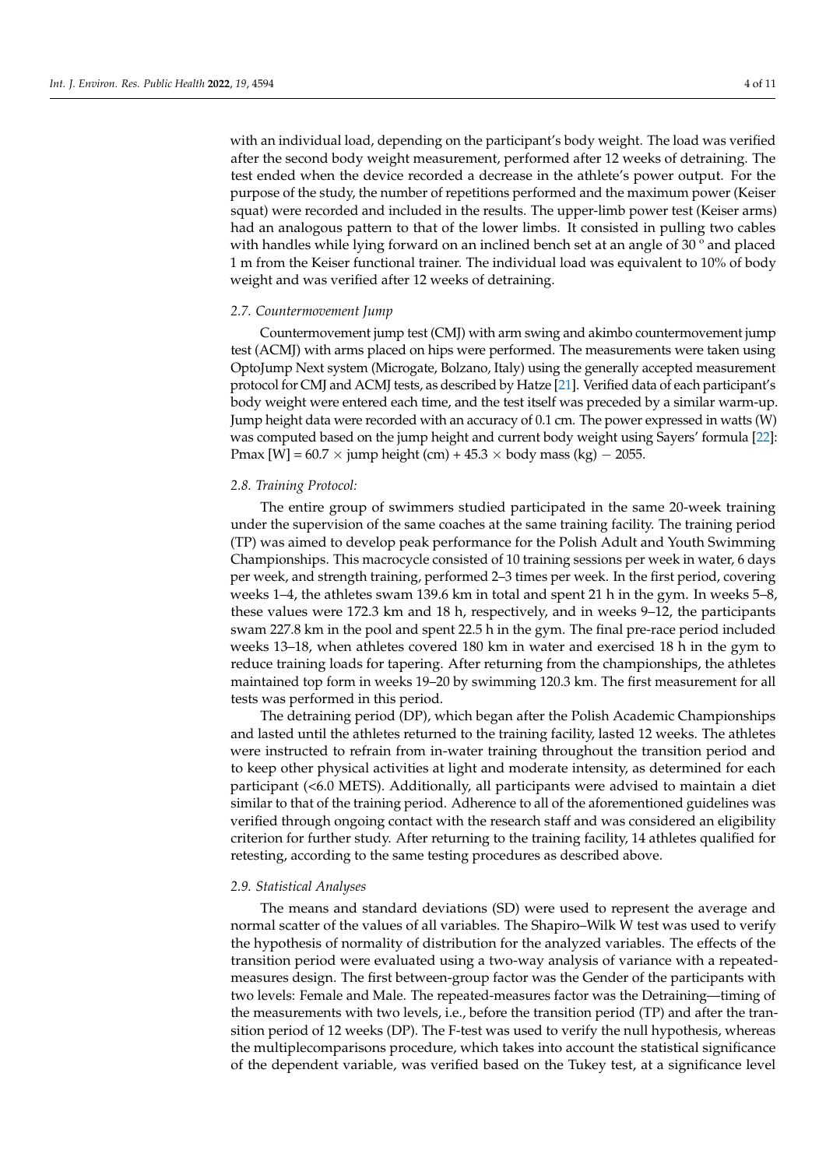with an individual load, depending on the participant's body weight. The load was verified after the second body weight measurement, performed after 12 weeks of detraining. The test ended when the device recorded a decrease in the athlete's power output. For the purpose of the study, the number of repetitions performed and the maximum power (Keiser squat) were recorded and included in the results. The upper-limb power test (Keiser arms) had an analogous pattern to that of the lower limbs. It consisted in pulling two cables with handles while lying forward on an inclined bench set at an angle of 30 ° and placed 1 m from the Keiser functional trainer. The individual load was equivalent to 10% of body weight and was verified after 12 weeks of detraining.

## *2.7. Countermovement Jump*

Countermovement jump test (CMJ) with arm swing and akimbo countermovement jump test (ACMJ) with arms placed on hips were performed. The measurements were taken using OptoJump Next system (Microgate, Bolzano, Italy) using the generally accepted measurement protocol for CMJ and ACMJ tests, as described by Hatze [\[21\]](#page-10-6). Verified data of each participant's body weight were entered each time, and the test itself was preceded by a similar warm-up. Jump height data were recorded with an accuracy of 0.1 cm. The power expressed in watts (W) was computed based on the jump height and current body weight using Sayers' formula [\[22\]](#page-10-7): Pmax [W] =  $60.7 \times$  jump height (cm) +  $45.3 \times$  body mass (kg)  $-$  2055.

## *2.8. Training Protocol:*

The entire group of swimmers studied participated in the same 20-week training under the supervision of the same coaches at the same training facility. The training period (TP) was aimed to develop peak performance for the Polish Adult and Youth Swimming Championships. This macrocycle consisted of 10 training sessions per week in water, 6 days per week, and strength training, performed 2–3 times per week. In the first period, covering weeks 1–4, the athletes swam 139.6 km in total and spent 21 h in the gym. In weeks 5–8, these values were 172.3 km and 18 h, respectively, and in weeks 9–12, the participants swam 227.8 km in the pool and spent 22.5 h in the gym. The final pre-race period included weeks 13–18, when athletes covered 180 km in water and exercised 18 h in the gym to reduce training loads for tapering. After returning from the championships, the athletes maintained top form in weeks 19–20 by swimming 120.3 km. The first measurement for all tests was performed in this period.

The detraining period (DP), which began after the Polish Academic Championships and lasted until the athletes returned to the training facility, lasted 12 weeks. The athletes were instructed to refrain from in-water training throughout the transition period and to keep other physical activities at light and moderate intensity, as determined for each participant (<6.0 METS). Additionally, all participants were advised to maintain a diet similar to that of the training period. Adherence to all of the aforementioned guidelines was verified through ongoing contact with the research staff and was considered an eligibility criterion for further study. After returning to the training facility, 14 athletes qualified for retesting, according to the same testing procedures as described above.

## *2.9. Statistical Analyses*

The means and standard deviations (SD) were used to represent the average and normal scatter of the values of all variables. The Shapiro–Wilk W test was used to verify the hypothesis of normality of distribution for the analyzed variables. The effects of the transition period were evaluated using a two-way analysis of variance with a repeatedmeasures design. The first between-group factor was the Gender of the participants with two levels: Female and Male. The repeated-measures factor was the Detraining—timing of the measurements with two levels, i.e., before the transition period (TP) and after the transition period of 12 weeks (DP). The F-test was used to verify the null hypothesis, whereas the multiplecomparisons procedure, which takes into account the statistical significance of the dependent variable, was verified based on the Tukey test, at a significance level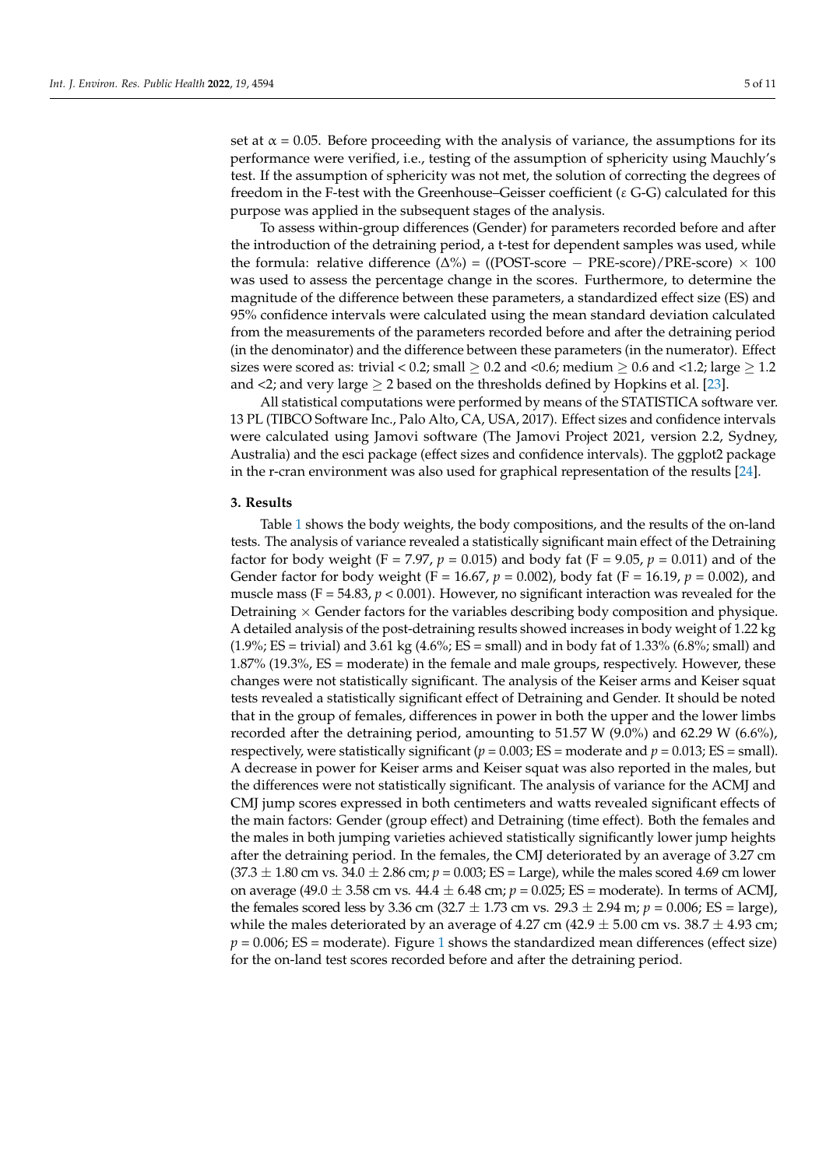set at  $\alpha$  = 0.05. Before proceeding with the analysis of variance, the assumptions for its performance were verified, i.e., testing of the assumption of sphericity using Mauchly's test. If the assumption of sphericity was not met, the solution of correcting the degrees of freedom in the F-test with the Greenhouse–Geisser coefficient (ε G-G) calculated for this purpose was applied in the subsequent stages of the analysis.

To assess within-group differences (Gender) for parameters recorded before and after the introduction of the detraining period, a t-test for dependent samples was used, while the formula: relative difference  $(\Delta\%) = ((POST-score - PRE-score)/PRE-score) \times 100$ was used to assess the percentage change in the scores. Furthermore, to determine the magnitude of the difference between these parameters, a standardized effect size (ES) and 95% confidence intervals were calculated using the mean standard deviation calculated from the measurements of the parameters recorded before and after the detraining period (in the denominator) and the difference between these parameters (in the numerator). Effect sizes were scored as: trivial < 0.2; small  $\geq$  0.2 and < 0.6; medium  $\geq$  0.6 and < 1.2; large  $\geq$  1.2 and <2; and very large  $\geq 2$  based on the thresholds defined by Hopkins et al. [\[23\]](#page-10-8).

All statistical computations were performed by means of the STATISTICA software ver. 13 PL (TIBCO Software Inc., Palo Alto, CA, USA, 2017). Effect sizes and confidence intervals were calculated using Jamovi software (The Jamovi Project 2021, version 2.2, Sydney, Australia) and the esci package (effect sizes and confidence intervals). The ggplot2 package in the r-cran environment was also used for graphical representation of the results [\[24\]](#page-10-9).

## **3. Results**

Table [1](#page-5-0) shows the body weights, the body compositions, and the results of the on-land tests. The analysis of variance revealed a statistically significant main effect of the Detraining factor for body weight (F = 7.97,  $p = 0.015$ ) and body fat (F = 9.05,  $p = 0.011$ ) and of the Gender factor for body weight (F = 16.67, *p* = 0.002), body fat (F = 16.19, *p* = 0.002), and muscle mass ( $F = 54.83$ ,  $p < 0.001$ ). However, no significant interaction was revealed for the Detraining  $\times$  Gender factors for the variables describing body composition and physique. A detailed analysis of the post-detraining results showed increases in body weight of 1.22 kg  $(1.9\%; ES = trivial)$  and  $3.61 \text{ kg } (4.6\%; ES = small)$  and in body fat of  $1.33\%$   $(6.8\%; small)$  and 1.87% (19.3%, ES = moderate) in the female and male groups, respectively. However, these changes were not statistically significant. The analysis of the Keiser arms and Keiser squat tests revealed a statistically significant effect of Detraining and Gender. It should be noted that in the group of females, differences in power in both the upper and the lower limbs recorded after the detraining period, amounting to 51.57 W (9.0%) and 62.29 W (6.6%), respectively, were statistically significant ( $p = 0.003$ ; ES = moderate and  $p = 0.013$ ; ES = small). A decrease in power for Keiser arms and Keiser squat was also reported in the males, but the differences were not statistically significant. The analysis of variance for the ACMJ and CMJ jump scores expressed in both centimeters and watts revealed significant effects of the main factors: Gender (group effect) and Detraining (time effect). Both the females and the males in both jumping varieties achieved statistically significantly lower jump heights after the detraining period. In the females, the CMJ deteriorated by an average of 3.27 cm  $(37.3 \pm 1.80 \text{ cm} \text{ vs. } 34.0 \pm 2.86 \text{ cm}; p = 0.003; \text{ ES} = \text{Large}$ ), while the males scored 4.69 cm lower on average (49.0  $\pm$  3.58 cm vs. 44.4  $\pm$  6.48 cm;  $p = 0.025$ ; ES = moderate). In terms of ACMJ, the females scored less by 3.36 cm  $(32.7 \pm 1.73 \text{ cm vs. } 29.3 \pm 2.94 \text{ m}; p = 0.006; ES = large)$ , while the males deteriorated by an average of 4.27 cm (42.9  $\pm$  5.00 cm vs. 38.7  $\pm$  4.93 cm;  $p = 0.006$ ; ES = moderate). Figure [1](#page-5-1) shows the standardized mean differences (effect size) for the on-land test scores recorded before and after the detraining period.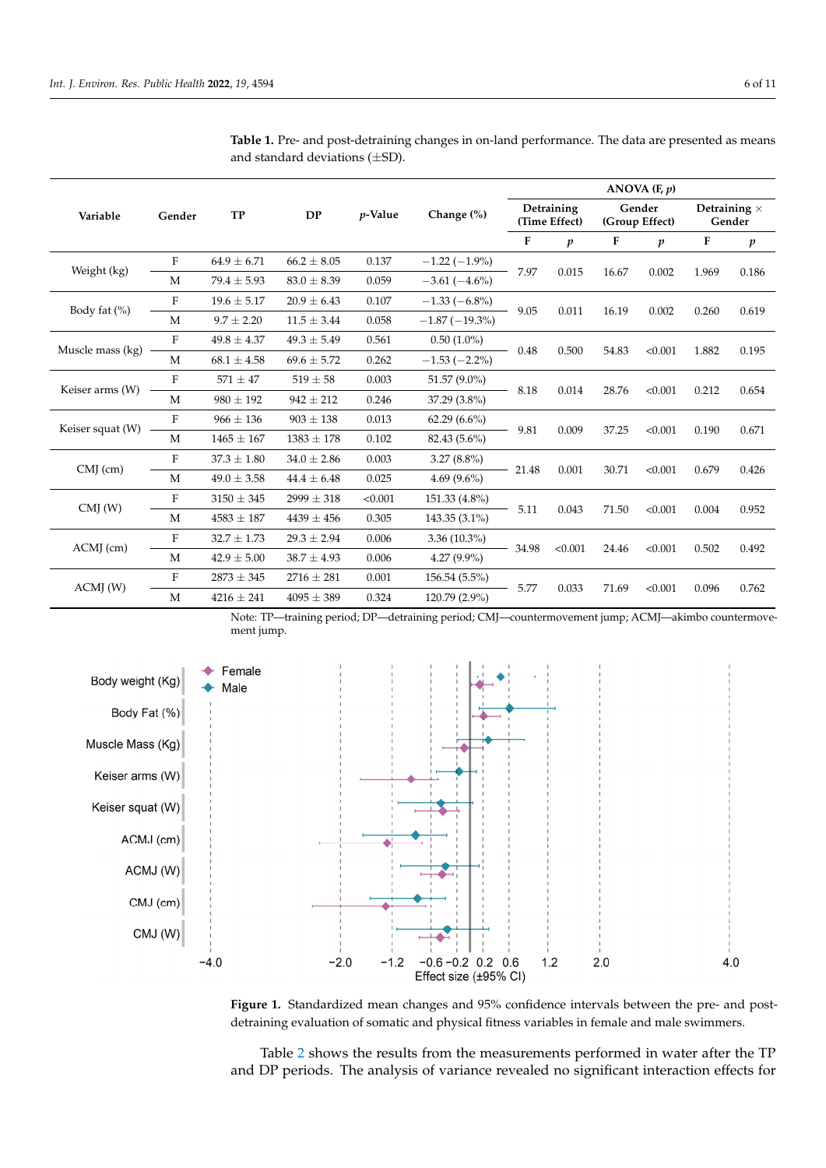after the detraining period.

| Variable         | Gender                    | <b>TP</b>       | <b>DP</b>       | $p$ -Value | Change (%)       | ANOVA $(F, p)$              |                  |                          |                  |                               |                  |  |
|------------------|---------------------------|-----------------|-----------------|------------|------------------|-----------------------------|------------------|--------------------------|------------------|-------------------------------|------------------|--|
|                  |                           |                 |                 |            |                  | Detraining<br>(Time Effect) |                  | Gender<br>(Group Effect) |                  | Detraining $\times$<br>Gender |                  |  |
|                  |                           |                 |                 |            |                  | $\mathbf F$                 | $\boldsymbol{p}$ | F                        | $\boldsymbol{p}$ | $\mathbf F$                   | $\boldsymbol{p}$ |  |
| Weight (kg)      | F                         | $64.9 \pm 6.71$ | $66.2 \pm 8.05$ | 0.137      | $-1.22(-1.9\%)$  | 7.97                        | 0.015            | 16.67                    | 0.002            | 1.969                         | 0.186            |  |
|                  | M                         | $79.4 \pm 5.93$ | $83.0 \pm 8.39$ | 0.059      | $-3.61(-4.6\%)$  |                             |                  |                          |                  |                               |                  |  |
| Body fat (%)     | $\mathbf F$               | $19.6 \pm 5.17$ | $20.9 \pm 6.43$ | 0.107      | $-1.33(-6.8\%)$  | 9.05                        | 0.011            | 16.19                    | 0.002            | 0.260                         | 0.619            |  |
|                  | M                         | $9.7 \pm 2.20$  | $11.5 \pm 3.44$ | 0.058      | $-1.87(-19.3\%)$ |                             |                  |                          |                  |                               |                  |  |
| Muscle mass (kg) | F                         | $49.8 \pm 4.37$ | $49.3 \pm 5.49$ | 0.561      | $0.50(1.0\%)$    | 0.48                        | 0.500            | 54.83                    | < 0.001          | 1.882                         | 0.195            |  |
|                  | M                         | $68.1 \pm 4.58$ | $69.6 \pm 5.72$ | 0.262      | $-1.53(-2.2\%)$  |                             |                  |                          |                  |                               |                  |  |
| Keiser arms (W)  | $\mathbf F$               | $571 \pm 47$    | $519 \pm 58$    | 0.003      | 51.57 (9.0%)     | 8.18                        | 0.014            | 28.76                    | < 0.001          | 0.212                         | 0.654            |  |
|                  | M                         | $980 \pm 192$   | $942 \pm 212$   | 0.246      | 37.29 (3.8%)     |                             |                  |                          |                  |                               |                  |  |
| Keiser squat (W) | $\mathbf F$               | $966 \pm 136$   | $903 \pm 138$   | 0.013      | $62.29(6.6\%)$   | 9.81                        | 0.009            | 37.25                    | < 0.001          | 0.190                         | 0.671            |  |
|                  | M                         | $1465 \pm 167$  | $1383 \pm 178$  | 0.102      | 82.43 (5.6%)     |                             |                  |                          |                  |                               |                  |  |
| $CMJ$ (cm)       | F                         | $37.3 \pm 1.80$ | $34.0 \pm 2.86$ | 0.003      | $3.27(8.8\%)$    | 21.48                       | 0.001            | 30.71                    | < 0.001          | 0.679                         | 0.426            |  |
|                  | M                         | $49.0 \pm 3.58$ | $44.4 \pm 6.48$ | 0.025      | 4.69 $(9.6\%)$   |                             |                  |                          |                  |                               |                  |  |
| CMJ(W)           | $\boldsymbol{\mathrm{F}}$ | $3150 \pm 345$  | $2999 \pm 318$  | < 0.001    | 151.33 (4.8%)    | 5.11                        | 0.043            | 71.50                    | < 0.001          | 0.004                         | 0.952            |  |
|                  | M                         | $4583 \pm 187$  | $4439 \pm 456$  | 0.305      | 143.35 (3.1%)    |                             |                  |                          |                  |                               |                  |  |
| $ACMI$ (cm)      | F                         | $32.7 \pm 1.73$ | $29.3 \pm 2.94$ | 0.006      | $3.36(10.3\%)$   | 34.98                       | < 0.001          | 24.46                    | < 0.001          | 0.502                         | 0.492            |  |
|                  | M                         | $42.9 \pm 5.00$ | $38.7 \pm 4.93$ | 0.006      | $4.27(9.9\%)$    |                             |                  |                          |                  |                               |                  |  |
| ACMI(W)          | F                         | $2873 \pm 345$  | $2716 \pm 281$  | 0.001      | 156.54 (5.5%)    | 5.77                        | 0.033            | 71.69                    | < 0.001          | 0.096                         | 0.762            |  |
|                  | M                         | $4216 \pm 241$  | $4095 \pm 389$  | 0.324      | 120.79 (2.9%)    |                             |                  |                          |                  |                               |                  |  |

<span id="page-5-0"></span>**Table 1.** Pre- and post-detraining changes in on-land performance. The data are presented as means **Table 1.** Pre- and post-detraining changes in on-land performance. The data are presented as means and standard deviations  $(\pm SD)$ .

<span id="page-5-1"></span>Note: TP—training period; DP—detraining period; CMJ—countermovement jump; ACMJ—akimbo countermove-Note: TP—training period; DP—detraining period; CMJ—countermovement jump; ACMJ—akimbo ment jump.



**Figure 1.** Standardized mean changes and 95% confidence intervals between the pre- and postdetraining evaluation of somatic and physical fitness variables in female and male swimmers.

Table [2](#page-6-0) shows the results from the measurements performed in water after the TP and DP periods. The analysis of variance revealed no significant interaction effects for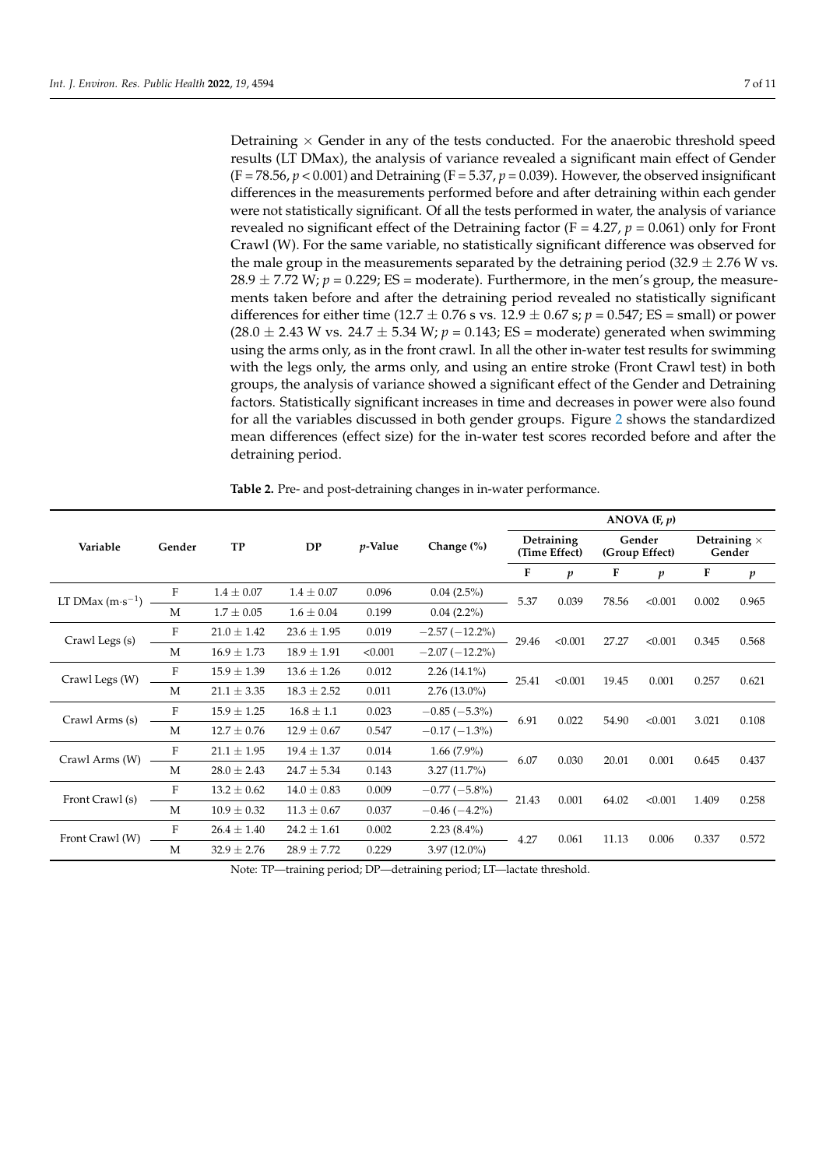Detraining  $\times$  Gender in any of the tests conducted. For the anaerobic threshold speed results (LT DMax), the analysis of variance revealed a significant main effect of Gender  $(F = 78.56, p < 0.001)$  and Detraining  $(F = 5.37, p = 0.039)$ . However, the observed insignificant differences in the measurements performed before and after detraining within each gender were not statistically significant. Of all the tests performed in water, the analysis of variance revealed no significant effect of the Detraining factor ( $F = 4.27$ ,  $p = 0.061$ ) only for Front Crawl (W). For the same variable, no statistically significant difference was observed for the male group in the measurements separated by the detraining period (32.9  $\pm$  2.76 W vs.  $28.9 \pm 7.72$  W;  $p = 0.229$ ; ES = moderate). Furthermore, in the men's group, the measurements taken before and after the detraining period revealed no statistically significant differences for either time (12.7  $\pm$  0.76 s vs. 12.9  $\pm$  0.67 s; *p* = 0.547; ES = small) or power  $(28.0 \pm 2.43 \text{ W} \text{ vs. } 24.7 \pm 5.34 \text{ W}; p = 0.143; \text{ ES} = \text{moderate})$  generated when swimming using the arms only, as in the front crawl. In all the other in-water test results for swimming with the legs only, the arms only, and using an entire stroke (Front Crawl test) in both groups, the analysis of variance showed a significant effect of the Gender and Detraining factors. Statistically significant increases in time and decreases in power were also found for all the variables discussed in both gender groups. Figure [2](#page-7-0) shows the standardized mean differences (effect size) for the in-water test scores recorded before and after the detraining period.

|                            | Gender | <b>TP</b>       | <b>DP</b>       | $p$ -Value | Change (%)       | ANOVA $(F, p)$              |                  |                          |                  |                               |                  |  |
|----------------------------|--------|-----------------|-----------------|------------|------------------|-----------------------------|------------------|--------------------------|------------------|-------------------------------|------------------|--|
| Variable                   |        |                 |                 |            |                  | Detraining<br>(Time Effect) |                  | Gender<br>(Group Effect) |                  | Detraining $\times$<br>Gender |                  |  |
|                            |        |                 |                 |            |                  | F                           | $\boldsymbol{p}$ | F                        | $\boldsymbol{p}$ | F                             | $\boldsymbol{p}$ |  |
| LT DMax $(m \cdot s^{-1})$ | F      | $1.4 \pm 0.07$  | $1.4 \pm 0.07$  | 0.096      | 0.04(2.5%)       | 5.37                        | 0.039            | 78.56                    | < 0.001          | 0.002                         | 0.965            |  |
|                            | M      | $1.7 \pm 0.05$  | $1.6 \pm 0.04$  | 0.199      | $0.04(2.2\%)$    |                             |                  |                          |                  |                               |                  |  |
| Crawl Legs (s)             | F      | $21.0 \pm 1.42$ | $23.6 \pm 1.95$ | 0.019      | $-2.57(-12.2\%)$ | 29.46                       | < 0.001          | 27.27                    | < 0.001          | 0.345                         | 0.568            |  |
|                            | M      | $16.9 \pm 1.73$ | $18.9 \pm 1.91$ | < 0.001    | $-2.07(-12.2\%)$ |                             |                  |                          |                  |                               |                  |  |
| Crawl Legs (W)             | F      | $15.9 \pm 1.39$ | $13.6 \pm 1.26$ | 0.012      | $2.26(14.1\%)$   | 25.41                       | < 0.001          | 19.45                    | 0.001            | 0.257                         | 0.621            |  |
|                            | M      | $21.1 \pm 3.35$ | $18.3 \pm 2.52$ | 0.011      | $2.76(13.0\%)$   |                             |                  |                          |                  |                               |                  |  |
| Crawl Arms (s)             | F      | $15.9 \pm 1.25$ | $16.8 \pm 1.1$  | 0.023      | $-0.85(-5.3\%)$  | 6.91                        | 0.022            | 54.90                    | < 0.001          | 3.021                         | 0.108            |  |
|                            | M      | $12.7 \pm 0.76$ | $12.9 \pm 0.67$ | 0.547      | $-0.17(-1.3\%)$  |                             |                  |                          |                  |                               |                  |  |
| Crawl Arms (W)             | F      | $21.1 \pm 1.95$ | $19.4 \pm 1.37$ | 0.014      | $1.66(7.9\%)$    | 6.07                        | 0.030            | 20.01                    | 0.001            | 0.645                         | 0.437            |  |
|                            | M      | $28.0 \pm 2.43$ | $24.7 \pm 5.34$ | 0.143      | 3.27(11.7%)      |                             |                  |                          |                  |                               |                  |  |
| Front Crawl (s)            | F      | $13.2 \pm 0.62$ | $14.0 \pm 0.83$ | 0.009      | $-0.77(-5.8\%)$  | 21.43                       | 0.001            | 64.02                    | < 0.001          | 1.409                         | 0.258            |  |
|                            | M      | $10.9 \pm 0.32$ | $11.3 \pm 0.67$ | 0.037      | $-0.46(-4.2\%)$  |                             |                  |                          |                  |                               |                  |  |
| Front Crawl (W)            | F      | $26.4 \pm 1.40$ | $24.2 \pm 1.61$ | 0.002      | $2.23(8.4\%)$    | 4.27                        | 0.061            | 11.13                    | 0.006            | 0.337                         | 0.572            |  |
|                            | M      | $32.9 \pm 2.76$ | $28.9 \pm 7.72$ | 0.229      | $3.97(12.0\%)$   |                             |                  |                          |                  |                               |                  |  |

<span id="page-6-0"></span>**Table 2.** Pre- and post-detraining changes in in-water performance.

Note: TP—training period; DP—detraining period; LT—lactate threshold.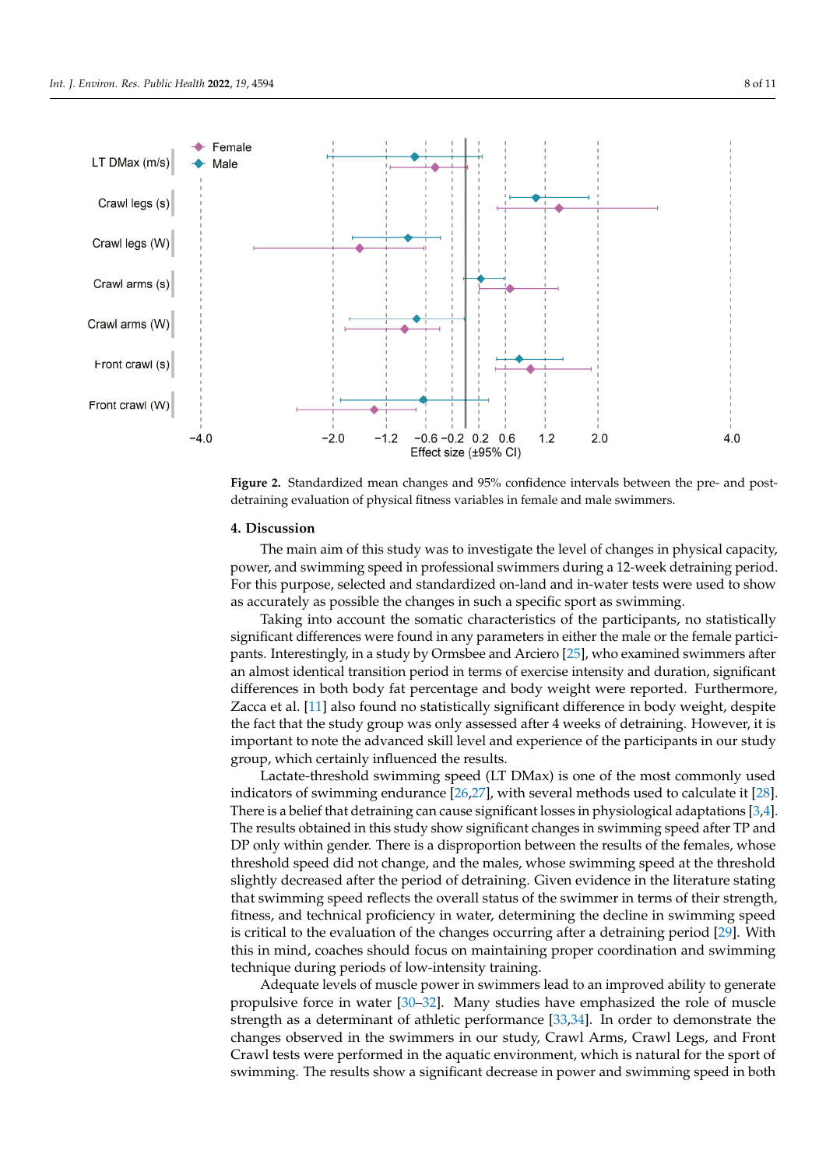<span id="page-7-0"></span>

**Figure 2.** Standardized mean changes and 95% confidence intervals between the pre- and postdetraining evaluation of physical fitness variables in female and male swimmers.

#### **4. Discussion 4. Discussion**

power, and swimming speed in professional swimmers during a 12-week detraining period. For this purpose, selected and standardized on-land and in-water tests were used to show as accurately as possible the changes in such a specific sport as swimming. The main aim of this study was to investigate the level of changes in physical capacity,

Taking into account the somatic characteristics of the participants, no statistically significant differences were found in any parameters in either the male or the female partici-pants. Interestingly, in a study by Ormsbee and Arciero [\[25\]](#page-10-10), who examined swimmers after an amost factured transfilm performant crims of exercise intensity and duration, significant affected in terms of the state intensity and duration period. The exercise internet of the state intensity and duration, significant difference in body weight, despite the fact that the study group was only assessed after 4 weeks of detraining. However, it is important to note the advanced skill level and experience of the participants in our study group, which certainly influenced the results. an almost identical transition period in terms of exercise intensity and duration, significant

Lactate-threshold swimming speed (LT DMax) is one of the most commonly used indicators of swimming endurance  $[26,27]$  $[26,27]$ , with several methods used to calculate it  $[28]$ . There is a belief that detraining can cause significant losses in physiological adaptations [\[3](#page-9-2)[,4\]](#page-9-3).<br>There is a belief that detraining can cause significant losses in physiological adaptations [3,4]. The results obtained in this study show significant changes in swimming speed after TP and<br>DP and within are der There is a disprese with hattuese the gesults of the females, whose If only whall gender. There is a disproportion settlement are results of the remarks, whose threshold speed did not change, and the males, whose swimming speed at the threshold slightly decreased after the period of detraining. Given evidence in the literature stating that swimming speed reflects the overall status of the swimmer in terms of their strength, fitness, and technical proficiency in water, determining the decline in swimming speed is critical to the evaluation of the changes occurring after a detraining period [\[29\]](#page-10-14). With this in mind, coaches should focus on maintaining proper coordination and swimming technique during periods of low-intensity training.<br>the decline in suitable in suitable in suitable in suitable in suitable in suitable in suitable in suitable in DP only within gender. There is a disproportion between the results of the females, whose

Adequate levels of muscle power in swimmers lead to an improved ability to generate<br>negatives forms in system [29, 22]. More studies have anothesized the rale of muscle strength as a determinant of athletic performance  $[33,34]$  $[33,34]$ . In order to demonstrate the changes observed in the swimmers in our study, Crawl Arms, Crawl Legs, and Front Crawl tests were performed in the aquatic environment, which is natural for the sport of swimming. The results show a significant decrease in power and swimming speed in both propulsive force in water [\[30–](#page-10-15)[32\]](#page-10-16). Many studies have emphasized the role of muscle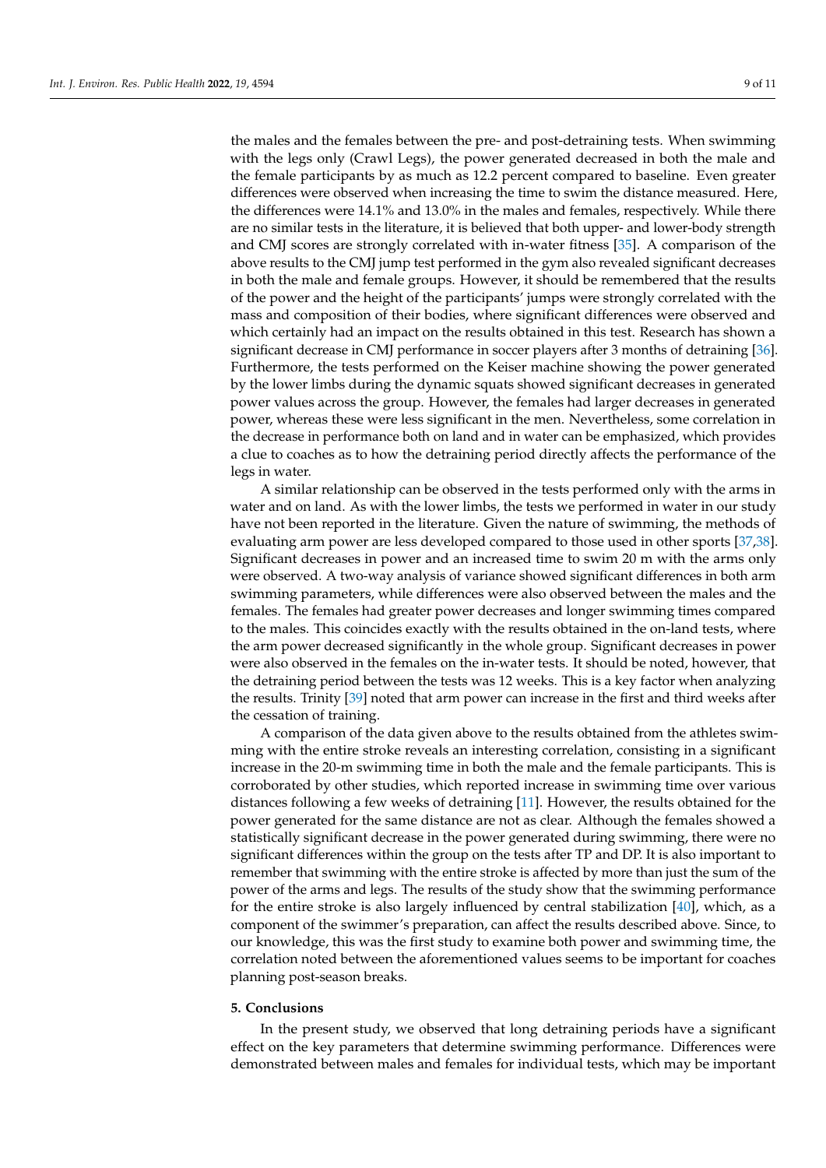the males and the females between the pre- and post-detraining tests. When swimming with the legs only (Crawl Legs), the power generated decreased in both the male and the female participants by as much as 12.2 percent compared to baseline. Even greater differences were observed when increasing the time to swim the distance measured. Here, the differences were 14.1% and 13.0% in the males and females, respectively. While there are no similar tests in the literature, it is believed that both upper- and lower-body strength and CMJ scores are strongly correlated with in-water fitness [\[35\]](#page-10-19). A comparison of the above results to the CMJ jump test performed in the gym also revealed significant decreases in both the male and female groups. However, it should be remembered that the results of the power and the height of the participants' jumps were strongly correlated with the mass and composition of their bodies, where significant differences were observed and which certainly had an impact on the results obtained in this test. Research has shown a significant decrease in CMJ performance in soccer players after 3 months of detraining [\[36\]](#page-10-20). Furthermore, the tests performed on the Keiser machine showing the power generated by the lower limbs during the dynamic squats showed significant decreases in generated power values across the group. However, the females had larger decreases in generated power, whereas these were less significant in the men. Nevertheless, some correlation in the decrease in performance both on land and in water can be emphasized, which provides a clue to coaches as to how the detraining period directly affects the performance of the legs in water.

A similar relationship can be observed in the tests performed only with the arms in water and on land. As with the lower limbs, the tests we performed in water in our study have not been reported in the literature. Given the nature of swimming, the methods of evaluating arm power are less developed compared to those used in other sports [\[37,](#page-10-21)[38\]](#page-10-22). Significant decreases in power and an increased time to swim 20 m with the arms only were observed. A two-way analysis of variance showed significant differences in both arm swimming parameters, while differences were also observed between the males and the females. The females had greater power decreases and longer swimming times compared to the males. This coincides exactly with the results obtained in the on-land tests, where the arm power decreased significantly in the whole group. Significant decreases in power were also observed in the females on the in-water tests. It should be noted, however, that the detraining period between the tests was 12 weeks. This is a key factor when analyzing the results. Trinity [\[39\]](#page-10-23) noted that arm power can increase in the first and third weeks after the cessation of training.

A comparison of the data given above to the results obtained from the athletes swimming with the entire stroke reveals an interesting correlation, consisting in a significant increase in the 20-m swimming time in both the male and the female participants. This is corroborated by other studies, which reported increase in swimming time over various distances following a few weeks of detraining [\[11\]](#page-9-10). However, the results obtained for the power generated for the same distance are not as clear. Although the females showed a statistically significant decrease in the power generated during swimming, there were no significant differences within the group on the tests after TP and DP. It is also important to remember that swimming with the entire stroke is affected by more than just the sum of the power of the arms and legs. The results of the study show that the swimming performance for the entire stroke is also largely influenced by central stabilization [\[40\]](#page-10-24), which, as a component of the swimmer's preparation, can affect the results described above. Since, to our knowledge, this was the first study to examine both power and swimming time, the correlation noted between the aforementioned values seems to be important for coaches planning post-season breaks.

## **5. Conclusions**

In the present study, we observed that long detraining periods have a significant effect on the key parameters that determine swimming performance. Differences were demonstrated between males and females for individual tests, which may be important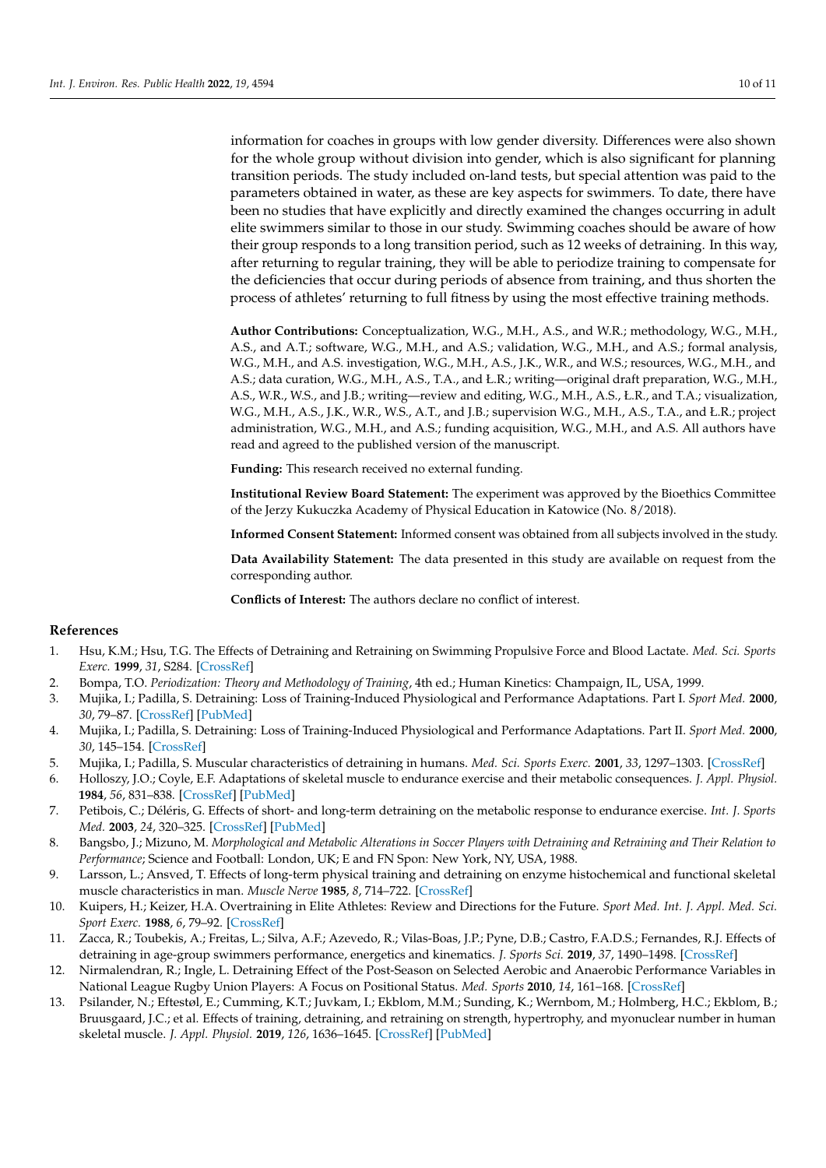information for coaches in groups with low gender diversity. Differences were also shown for the whole group without division into gender, which is also significant for planning transition periods. The study included on-land tests, but special attention was paid to the parameters obtained in water, as these are key aspects for swimmers. To date, there have been no studies that have explicitly and directly examined the changes occurring in adult elite swimmers similar to those in our study. Swimming coaches should be aware of how their group responds to a long transition period, such as 12 weeks of detraining. In this way, after returning to regular training, they will be able to periodize training to compensate for the deficiencies that occur during periods of absence from training, and thus shorten the process of athletes' returning to full fitness by using the most effective training methods.

**Author Contributions:** Conceptualization, W.G., M.H., A.S., and W.R.; methodology, W.G., M.H., A.S., and A.T.; software, W.G., M.H., and A.S.; validation, W.G., M.H., and A.S.; formal analysis, W.G., M.H., and A.S. investigation, W.G., M.H., A.S., J.K., W.R., and W.S.; resources, W.G., M.H., and A.S.; data curation, W.G., M.H., A.S., T.A., and Ł.R.; writing—original draft preparation, W.G., M.H., A.S., W.R., W.S., and J.B.; writing—review and editing, W.G., M.H., A.S., Ł.R., and T.A.; visualization, W.G., M.H., A.S., J.K., W.R., W.S., A.T., and J.B.; supervision W.G., M.H., A.S., T.A., and Ł.R.; project administration, W.G., M.H., and A.S.; funding acquisition, W.G., M.H., and A.S. All authors have read and agreed to the published version of the manuscript.

**Funding:** This research received no external funding.

**Institutional Review Board Statement:** The experiment was approved by the Bioethics Committee of the Jerzy Kukuczka Academy of Physical Education in Katowice (No. 8/2018).

**Informed Consent Statement:** Informed consent was obtained from all subjects involved in the study.

**Data Availability Statement:** The data presented in this study are available on request from the corresponding author.

**Conflicts of Interest:** The authors declare no conflict of interest.

## **References**

- <span id="page-9-0"></span>1. Hsu, K.M.; Hsu, T.G. The Effects of Detraining and Retraining on Swimming Propulsive Force and Blood Lactate. *Med. Sci. Sports Exerc.* **1999**, *31*, S284. [\[CrossRef\]](http://doi.org/10.1097/00005768-199905001-01396)
- <span id="page-9-2"></span><span id="page-9-1"></span>2. Bompa, T.O. *Periodization: Theory and Methodology of Training*, 4th ed.; Human Kinetics: Champaign, IL, USA, 1999.
- 3. Mujika, I.; Padilla, S. Detraining: Loss of Training-Induced Physiological and Performance Adaptations. Part I. *Sport Med.* **2000**, *30*, 79–87. [\[CrossRef\]](http://doi.org/10.2165/00007256-200030020-00002) [\[PubMed\]](http://www.ncbi.nlm.nih.gov/pubmed/10966148)
- <span id="page-9-3"></span>4. Mujika, I.; Padilla, S. Detraining: Loss of Training-Induced Physiological and Performance Adaptations. Part II. *Sport Med.* **2000**, *30*, 145–154. [\[CrossRef\]](http://doi.org/10.2165/00007256-200030030-00001)
- <span id="page-9-4"></span>5. Mujika, I.; Padilla, S. Muscular characteristics of detraining in humans. *Med. Sci. Sports Exerc.* **2001**, *33*, 1297–1303. [\[CrossRef\]](http://doi.org/10.1097/00005768-200108000-00009)
- <span id="page-9-5"></span>6. Holloszy, J.O.; Coyle, E.F. Adaptations of skeletal muscle to endurance exercise and their metabolic consequences. *J. Appl. Physiol.* **1984**, *56*, 831–838. [\[CrossRef\]](http://doi.org/10.1152/jappl.1984.56.4.831) [\[PubMed\]](http://www.ncbi.nlm.nih.gov/pubmed/6373687)
- <span id="page-9-6"></span>7. Petibois, C.; Déléris, G. Effects of short- and long-term detraining on the metabolic response to endurance exercise. *Int. J. Sports Med.* **2003**, *24*, 320–325. [\[CrossRef\]](http://doi.org/10.1055/s-2003-40708) [\[PubMed\]](http://www.ncbi.nlm.nih.gov/pubmed/12868041)
- <span id="page-9-7"></span>8. Bangsbo, J.; Mizuno, M. *Morphological and Metabolic Alterations in Soccer Players with Detraining and Retraining and Their Relation to Performance*; Science and Football: London, UK; E and FN Spon: New York, NY, USA, 1988.
- <span id="page-9-8"></span>9. Larsson, L.; Ansved, T. Effects of long-term physical training and detraining on enzyme histochemical and functional skeletal muscle characteristics in man. *Muscle Nerve* **1985**, *8*, 714–722. [\[CrossRef\]](http://doi.org/10.1002/mus.880080815)
- <span id="page-9-9"></span>10. Kuipers, H.; Keizer, H.A. Overtraining in Elite Athletes: Review and Directions for the Future. *Sport Med. Int. J. Appl. Med. Sci. Sport Exerc.* **1988**, *6*, 79–92. [\[CrossRef\]](http://doi.org/10.2165/00007256-198806020-00003)
- <span id="page-9-10"></span>11. Zacca, R.; Toubekis, A.; Freitas, L.; Silva, A.F.; Azevedo, R.; Vilas-Boas, J.P.; Pyne, D.B.; Castro, F.A.D.S.; Fernandes, R.J. Effects of detraining in age-group swimmers performance, energetics and kinematics. *J. Sports Sci.* **2019**, *37*, 1490–1498. [\[CrossRef\]](http://doi.org/10.1080/02640414.2019.1572434)
- <span id="page-9-11"></span>12. Nirmalendran, R.; Ingle, L. Detraining Effect of the Post-Season on Selected Aerobic and Anaerobic Performance Variables in National League Rugby Union Players: A Focus on Positional Status. *Med. Sports* **2010**, *14*, 161–168. [\[CrossRef\]](http://doi.org/10.2478/v10036-010-0026-1)
- <span id="page-9-12"></span>13. Psilander, N.; Eftestøl, E.; Cumming, K.T.; Juvkam, I.; Ekblom, M.M.; Sunding, K.; Wernbom, M.; Holmberg, H.C.; Ekblom, B.; Bruusgaard, J.C.; et al. Effects of training, detraining, and retraining on strength, hypertrophy, and myonuclear number in human skeletal muscle. *J. Appl. Physiol.* **2019**, *126*, 1636–1645. [\[CrossRef\]](http://doi.org/10.1152/japplphysiol.00917.2018) [\[PubMed\]](http://www.ncbi.nlm.nih.gov/pubmed/30991013)